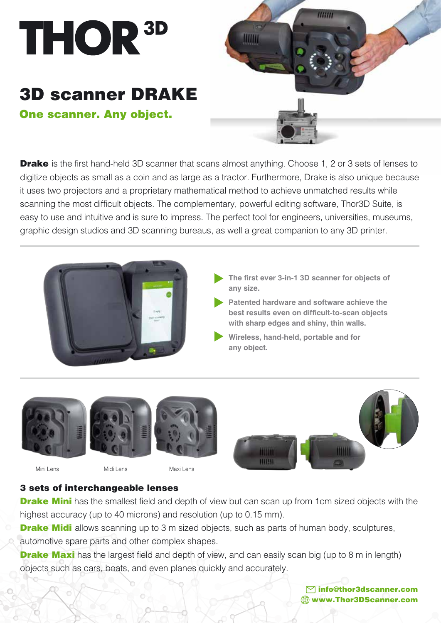

## 3D scanner DRAKE One scanner. Any object.



**Drake** is the first hand-held 3D scanner that scans almost anything. Choose 1, 2 or 3 sets of lenses to digitize objects as small as a coin and as large as a tractor. Furthermore, Drake is also unique because it uses two projectors and a proprietary mathematical method to achieve unmatched results while scanning the most difficult objects. The complementary, powerful editing software, Thor3D Suite, is easy to use and intuitive and is sure to impress. The perfect tool for engineers, universities, museums, graphic design studios and 3D scanning bureaus, as well a great companion to any 3D printer.



- **The first ever 3-in-1 3D scanner for objects of any size.**
- **Patented hardware and software achieve the best results even on difficult-to-scan objects with sharp edges and shiny, thin walls.**
- **Wireless, hand-held, portable and for any object.**









Mini Lens Midi Lens Maxi Lens

## 3 sets of interchangeable lenses

**Drake Mini** has the smallest field and depth of view but can scan up from 1cm sized objects with the highest accuracy (up to 40 microns) and resolution (up to 0.15 mm).

**Drake Midi** allows scanning up to 3 m sized objects, such as parts of human body, sculptures, automotive spare parts and other complex shapes.

**Drake Maxi** has the largest field and depth of view, and can easily scan big (up to 8 m in length) objects such as cars, boats, and even planes quickly and accurately.

> info@thor3dscanner.com www.Thor3DScanner.com